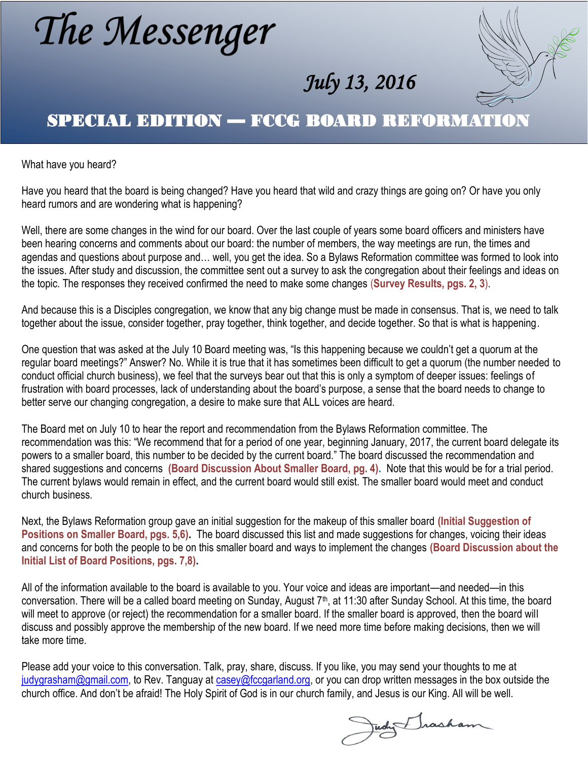# The Messenger



## SPECIAL EDITION — FCCG BOARD REFORMATION

What have you heard?

Have you heard that the board is being changed? Have you heard that wild and crazy things are going on? Or have you only heard rumors and are wondering what is happening?

Well, there are some changes in the wind for our board. Over the last couple of years some board officers and ministers have been hearing concerns and comments about our board: the number of members, the way meetings are run, the times and agendas and questions about purpose and… well, you get the idea. So a Bylaws Reformation committee was formed to look into the issues. After study and discussion, the committee sent out a survey to ask the congregation about their feelings and ideas on the topic. The responses they received confirmed the need to make some changes (**Survey Results, pgs. 2, 3**).

And because this is a Disciples congregation, we know that any big change must be made in consensus. That is, we need to talk together about the issue, consider together, pray together, think together, and decide together. So that is what is happening.

One question that was asked at the July 10 Board meeting was, "Is this happening because we couldn't get a quorum at the regular board meetings?" Answer? No. While it is true that it has sometimes been difficult to get a quorum (the number needed to conduct official church business), we feel that the surveys bear out that this is only a symptom of deeper issues: feelings of frustration with board processes, lack of understanding about the board's purpose, a sense that the board needs to change to better serve our changing congregation, a desire to make sure that ALL voices are heard.

The Board met on July 10 to hear the report and recommendation from the Bylaws Reformation committee. The recommendation was this: "We recommend that for a period of one year, beginning January, 2017, the current board delegate its powers to a smaller board, this number to be decided by the current board." The board discussed the recommendation and shared suggestions and concerns **(Board Discussion About Smaller Board, pg. 4).** Note that this would be for a trial period. The current bylaws would remain in effect, and the current board would still exist. The smaller board would meet and conduct church business.

Next, the Bylaws Reformation group gave an initial suggestion for the makeup of this smaller board **(Initial Suggestion of Positions on Smaller Board, pgs. 5,6).** The board discussed this list and made suggestions for changes, voicing their ideas and concerns for both the people to be on this smaller board and ways to implement the changes **(Board Discussion about the Initial List of Board Positions, pgs. 7,8).**

All of the information available to the board is available to you. Your voice and ideas are important—and needed—in this conversation. There will be a called board meeting on Sunday, August 7<sup>th</sup>, at 11:30 after Sunday School. At this time, the board will meet to approve (or reject) the recommendation for a smaller board. If the smaller board is approved, then the board will discuss and possibly approve the membership of the new board. If we need more time before making decisions, then we will take more time.

Please add your voice to this conversation. Talk, pray, share, discuss. If you like, you may send your thoughts to me at [judygrasham@gmail.com,](mailto:judygrasham@gmail.com) to Rev. Tanguay at [casey@fccgarland.org,](mailto:casey@fccgarland.org) or you can drop written messages in the box outside the church office. And don't be afraid! The Holy Spirit of God is in our church family, and Jesus is our King. All will be well.

Judy Irasham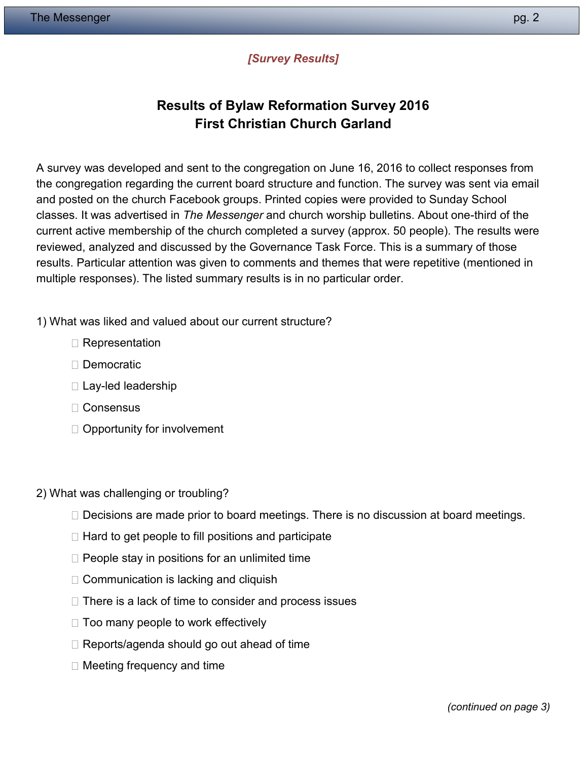#### *[Survey Results]*

## **Results of Bylaw Reformation Survey 2016 First Christian Church Garland**

A survey was developed and sent to the congregation on June 16, 2016 to collect responses from the congregation regarding the current board structure and function. The survey was sent via email and posted on the church Facebook groups. Printed copies were provided to Sunday School classes. It was advertised in *The Messenger* and church worship bulletins. About one-third of the current active membership of the church completed a survey (approx. 50 people). The results were reviewed, analyzed and discussed by the Governance Task Force. This is a summary of those results. Particular attention was given to comments and themes that were repetitive (mentioned in multiple responses). The listed summary results is in no particular order.

#### 1) What was liked and valued about our current structure?

- □ Representation
- Democratic
- $\square$  Lay-led leadership
- □ Consensus
- $\Box$  Opportunity for involvement
- 2) What was challenging or troubling?
	- $\Box$  Decisions are made prior to board meetings. There is no discussion at board meetings.
	- $\Box$  Hard to get people to fill positions and participate
	- $\Box$  People stay in positions for an unlimited time
	- $\Box$  Communication is lacking and cliquish
	- $\Box$  There is a lack of time to consider and process issues
	- $\Box$  Too many people to work effectively
	- $\Box$  Reports/agenda should go out ahead of time
	- $\Box$  Meeting frequency and time

*(continued on page 3)*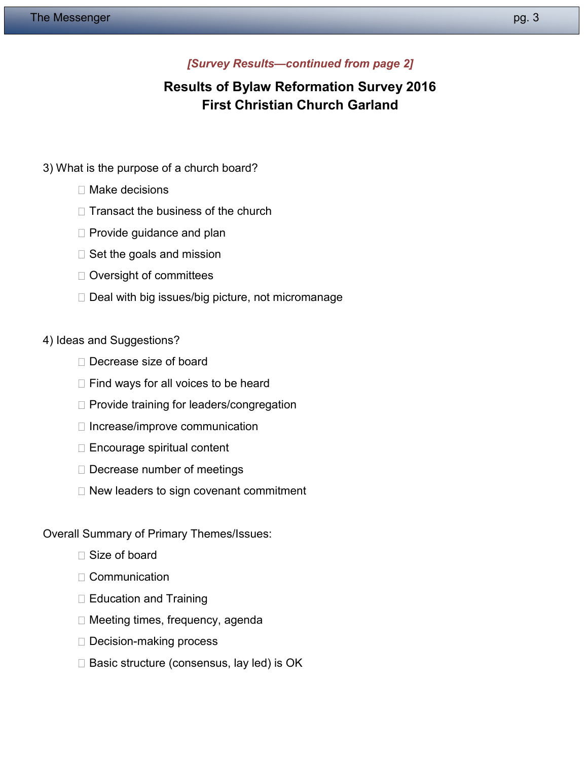#### *[Survey Results—continued from page 2]*

## **Results of Bylaw Reformation Survey 2016 First Christian Church Garland**

- 3) What is the purpose of a church board?
	- $\Box$  Make decisions
	- $\Box$  Transact the business of the church
	- $\Box$  Provide guidance and plan
	- $\square$  Set the goals and mission
	- □ Oversight of committees
	- $\Box$  Deal with big issues/big picture, not micromanage

#### 4) Ideas and Suggestions?

- $\Box$  Decrease size of board
- $\Box$  Find ways for all voices to be heard
- $\Box$  Provide training for leaders/congregation
- $\Box$  Increase/improve communication
- $\Box$  Encourage spiritual content
- D Decrease number of meetings
- $\Box$  New leaders to sign covenant commitment

#### Overall Summary of Primary Themes/Issues:

- □ Size of board
- $\Box$  Communication
- $\Box$  Education and Training
- □ Meeting times, frequency, agenda
- □ Decision-making process
- $\square$  Basic structure (consensus, lay led) is OK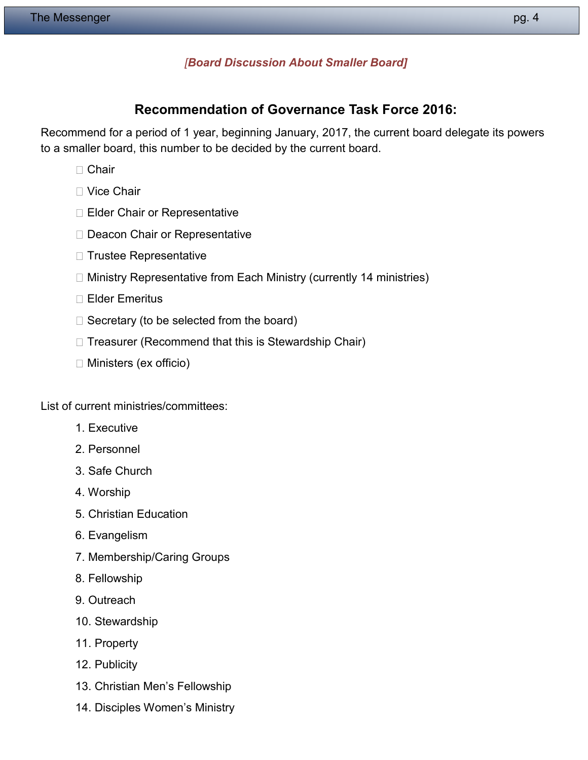#### *[Board Discussion About Smaller Board]*

#### **Recommendation of Governance Task Force 2016:**

Recommend for a period of 1 year, beginning January, 2017, the current board delegate its powers to a smaller board, this number to be decided by the current board.

- □ Chair
- Vice Chair
- □ Elder Chair or Representative
- D Deacon Chair or Representative
- $\Box$  Trustee Representative
- □ Ministry Representative from Each Ministry (currently 14 ministries)
- □ Elder Emeritus
- $\Box$  Secretary (to be selected from the board)
- $\Box$  Treasurer (Recommend that this is Stewardship Chair)
- $\Box$  Ministers (ex officio)

List of current ministries/committees:

- 1. Executive
- 2. Personnel
- 3. Safe Church
- 4. Worship
- 5. Christian Education
- 6. Evangelism
- 7. Membership/Caring Groups
- 8. Fellowship
- 9. Outreach
- 10. Stewardship
- 11. Property
- 12. Publicity
- 13. Christian Men's Fellowship
- 14. Disciples Women's Ministry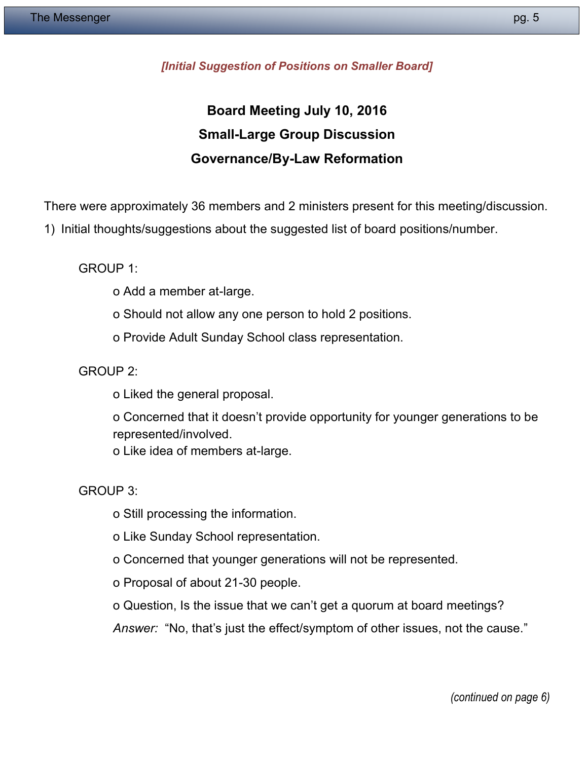#### *[Initial Suggestion of Positions on Smaller Board]*

## **Board Meeting July 10, 2016 Small-Large Group Discussion Governance/By-Law Reformation**

There were approximately 36 members and 2 ministers present for this meeting/discussion.

1) Initial thoughts/suggestions about the suggested list of board positions/number.

GROUP 1:

- o Add a member at-large.
- o Should not allow any one person to hold 2 positions.
- o Provide Adult Sunday School class representation.

GROUP 2:

- o Liked the general proposal.
- o Concerned that it doesn't provide opportunity for younger generations to be represented/involved.
- o Like idea of members at-large.

GROUP 3:

- o Still processing the information.
- o Like Sunday School representation.
- o Concerned that younger generations will not be represented.
- o Proposal of about 21-30 people.
- o Question, Is the issue that we can't get a quorum at board meetings?

*Answer:* "No, that's just the effect/symptom of other issues, not the cause."

*(continued on page 6)*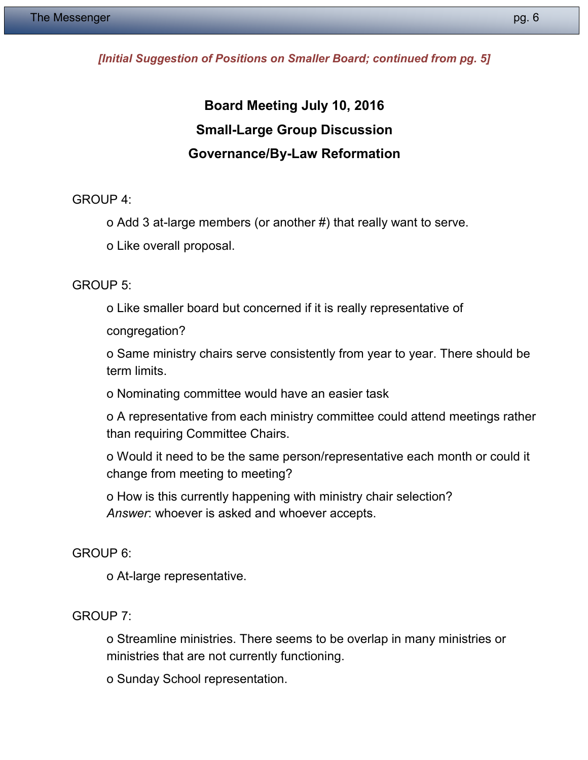#### *[Initial Suggestion of Positions on Smaller Board; continued from pg. 5]*

# **Board Meeting July 10, 2016 Small-Large Group Discussion Governance/By-Law Reformation**

GROUP 4:

o Add 3 at-large members (or another #) that really want to serve.

o Like overall proposal.

GROUP 5:

o Like smaller board but concerned if it is really representative of

congregation?

o Same ministry chairs serve consistently from year to year. There should be term limits.

o Nominating committee would have an easier task

o A representative from each ministry committee could attend meetings rather than requiring Committee Chairs.

o Would it need to be the same person/representative each month or could it change from meeting to meeting?

o How is this currently happening with ministry chair selection? *Answer*: whoever is asked and whoever accepts.

#### GROUP 6:

o At-large representative.

#### GROUP 7:

o Streamline ministries. There seems to be overlap in many ministries or ministries that are not currently functioning.

o Sunday School representation.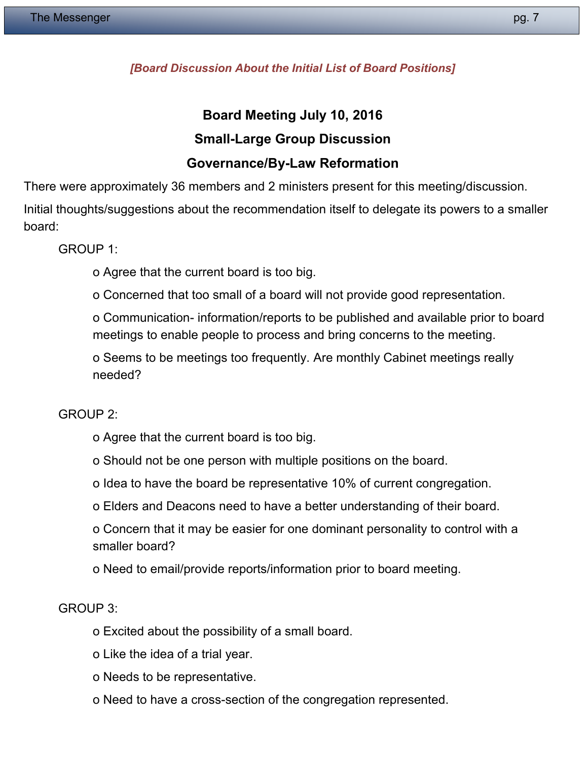#### *[Board Discussion About the Initial List of Board Positions]*

## **Board Meeting July 10, 2016 Small-Large Group Discussion Governance/By-Law Reformation**

There were approximately 36 members and 2 ministers present for this meeting/discussion.

Initial thoughts/suggestions about the recommendation itself to delegate its powers to a smaller board:

GROUP 1:

o Agree that the current board is too big.

o Concerned that too small of a board will not provide good representation.

o Communication- information/reports to be published and available prior to board meetings to enable people to process and bring concerns to the meeting.

o Seems to be meetings too frequently. Are monthly Cabinet meetings really needed?

GROUP 2:

- o Agree that the current board is too big.
- o Should not be one person with multiple positions on the board.
- o Idea to have the board be representative 10% of current congregation.
- o Elders and Deacons need to have a better understanding of their board.

o Concern that it may be easier for one dominant personality to control with a smaller board?

o Need to email/provide reports/information prior to board meeting.

GROUP 3:

- o Excited about the possibility of a small board.
- o Like the idea of a trial year.
- o Needs to be representative.
- o Need to have a cross-section of the congregation represented.